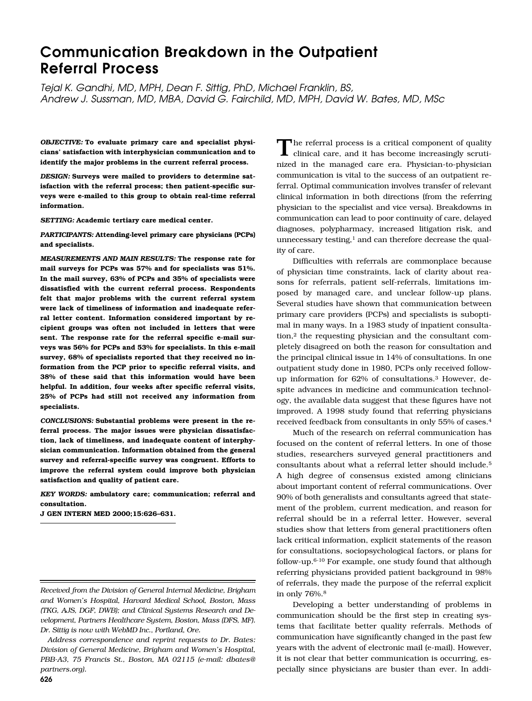# **Communication Breakdown in the Outpatient Referral Process**

Tejal K. Gandhi, MD, MPH, Dean F. Sittig, PhD, Michael Franklin, BS, Andrew J. Sussman, MD, MBA, David G. Fairchild, MD, MPH, David W. Bates, MD, MSc

*OBJECTIVE:* **To evaluate primary care and specialist physicians' satisfaction with interphysician communication and to identify the major problems in the current referral process.**

*DESIGN:* **Surveys were mailed to providers to determine satisfaction with the referral process; then patient-specific surveys were e-mailed to this group to obtain real-time referral information.**

*SETTING:* **Academic tertiary care medical center.**

*PARTICIPANTS:* **Attending-level primary care physicians (PCPs) and specialists.**

*MEASUREMENTS AND MAIN RESULTS:* **The response rate for mail surveys for PCPs was 57% and for specialists was 51%. In the mail survey, 63% of PCPs and 35% of specialists were dissatisfied with the current referral process. Respondents felt that major problems with the current referral system were lack of timeliness of information and inadequate referral letter content. Information considered important by recipient groups was often not included in letters that were sent. The response rate for the referral specific e-mail surveys was 56% for PCPs and 53% for specialists. In this e-mail survey, 68% of specialists reported that they received no information from the PCP prior to specific referral visits, and 38% of these said that this information would have been helpful. In addition, four weeks after specific referral visits, 25% of PCPs had still not received any information from specialists.**

*CONCLUSIONS:* **Substantial problems were present in the referral process. The major issues were physician dissatisfaction, lack of timeliness, and inadequate content of interphysician communication. Information obtained from the general survey and referral-specific survey was congruent. Efforts to improve the referral system could improve both physician satisfaction and quality of patient care.**

*KEY WORDS:* **ambulatory care; communication; referral and consultation.**

**J GEN INTERN MED 2000;15:626–631.**

The referral process is a critical component of quality clinical care, and it has become increasingly scrutinized in the managed care era. Physician-to-physician communication is vital to the success of an outpatient referral. Optimal communication involves transfer of relevant clinical information in both directions (from the referring physician to the specialist and vice versa). Breakdowns in communication can lead to poor continuity of care, delayed diagnoses, polypharmacy, increased litigation risk, and unnecessary testing, $1$  and can therefore decrease the quality of care.

Difficulties with referrals are commonplace because of physician time constraints, lack of clarity about reasons for referrals, patient self-referrals, limitations imposed by managed care, and unclear follow-up plans. Several studies have shown that communication between primary care providers (PCPs) and specialists is suboptimal in many ways. In a 1983 study of inpatient consultation,2 the requesting physician and the consultant completely disagreed on both the reason for consultation and the principal clinical issue in 14% of consultations. In one outpatient study done in 1980, PCPs only received followup information for 62% of consultations.3 However, despite advances in medicine and communication technology, the available data suggest that these figures have not improved. A 1998 study found that referring physicians received feedback from consultants in only 55% of cases.4

Much of the research on referral communication has focused on the content of referral letters. In one of those studies, researchers surveyed general practitioners and consultants about what a referral letter should include.5 A high degree of consensus existed among clinicians about important content of referral communications. Over 90% of both generalists and consultants agreed that statement of the problem, current medication, and reason for referral should be in a referral letter. However, several studies show that letters from general practitioners often lack critical information, explicit statements of the reason for consultations, sociopsychological factors, or plans for follow-up.6-10 For example, one study found that although referring physicians provided patient background in 98% of referrals, they made the purpose of the referral explicit in only 76%.8

Developing a better understanding of problems in communication should be the first step in creating systems that facilitate better quality referrals. Methods of communication have significantly changed in the past few years with the advent of electronic mail (e-mail). However, it is not clear that better communication is occurring, especially since physicians are busier than ever. In addi-

*Received from the Division of General Internal Medicine, Brigham and Women's Hospital, Harvard Medical School, Boston, Mass (TKG, AJS, DGF, DWB); and Clinical Systems Research and Development, Partners Healthcare System, Boston, Mass (DFS, MF). Dr. Sittig is now with WebMD Inc., Portland, Ore.* 

*Address correspondence and reprint requests to Dr. Bates: Division of General Medicine, Brigham and Women's Hospital, PBB-A3, 75 Francis St., Boston, MA 02115 (e-mail: dbates@ partners.org).*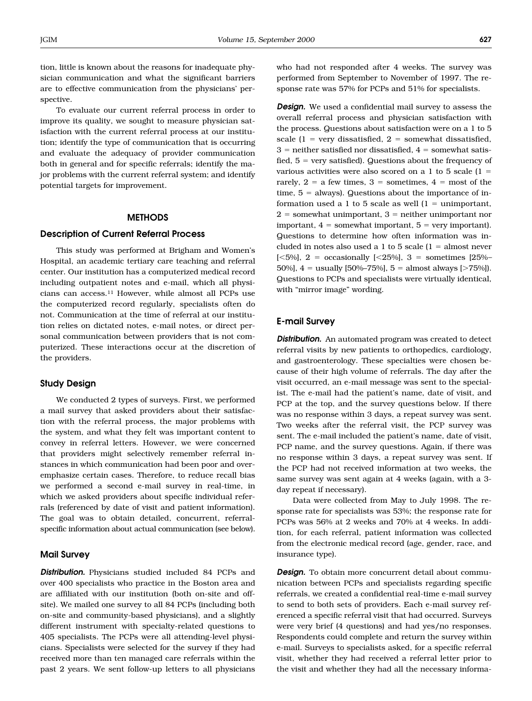tion, little is known about the reasons for inadequate physician communication and what the significant barriers are to effective communication from the physicians' perspective.

To evaluate our current referral process in order to improve its quality, we sought to measure physician satisfaction with the current referral process at our institution; identify the type of communication that is occurring and evaluate the adequacy of provider communication both in general and for specific referrals; identify the major problems with the current referral system; and identify potential targets for improvement.

## **METHODS**

## **Description of Current Referral Process**

This study was performed at Brigham and Women's Hospital, an academic tertiary care teaching and referral center. Our institution has a computerized medical record including outpatient notes and e-mail, which all physicians can access.11 However, while almost all PCPs use the computerized record regularly, specialists often do not. Communication at the time of referral at our institution relies on dictated notes, e-mail notes, or direct personal communication between providers that is not computerized. These interactions occur at the discretion of the providers.

## **Study Design**

We conducted 2 types of surveys. First, we performed a mail survey that asked providers about their satisfaction with the referral process, the major problems with the system, and what they felt was important content to convey in referral letters. However, we were concerned that providers might selectively remember referral instances in which communication had been poor and overemphasize certain cases. Therefore, to reduce recall bias we performed a second e-mail survey in real-time, in which we asked providers about specific individual referrals (referenced by date of visit and patient information). The goal was to obtain detailed, concurrent, referralspecific information about actual communication (see below).

#### **Mail Survey**

**Distribution.** Physicians studied included 84 PCPs and over 400 specialists who practice in the Boston area and are affiliated with our institution (both on-site and offsite). We mailed one survey to all 84 PCPs (including both on-site and community-based physicians), and a slightly different instrument with specialty-related questions to 405 specialists. The PCPs were all attending-level physicians. Specialists were selected for the survey if they had received more than ten managed care referrals within the past 2 years. We sent follow-up letters to all physicians who had not responded after 4 weeks. The survey was performed from September to November of 1997. The response rate was 57% for PCPs and 51% for specialists.

**Design.** We used a confidential mail survey to assess the overall referral process and physician satisfaction with the process. Questions about satisfaction were on a 1 to 5 scale (1 = very dissatisfied, 2 = somewhat dissatisfied,  $3$  = neither satisfied nor dissatisfied,  $4$  = somewhat satisfied,  $5 = \text{very satisfied}$ . Questions about the frequency of various activities were also scored on a 1 to 5 scale  $(1 =$ rarely,  $2 = a$  few times,  $3 =$  sometimes,  $4 =$  most of the time,  $5 =$  always). Questions about the importance of information used a 1 to 5 scale as well  $(1 -$  unimportant,  $2 =$  somewhat unimportant,  $3 =$  neither unimportant nor important,  $4 =$  somewhat important,  $5 =$  very important). Questions to determine how often information was included in notes also used a 1 to 5 scale  $(1 -$  almost never  $[-5\%]$ , 2 = occasionally  $[-25\%]$ , 3 = sometimes  $[25\%]$ 50%],  $4 =$  usually [50%–75%],  $5 =$  almost always [>75%]). Questions to PCPs and specialists were virtually identical, with "mirror image" wording.

#### **E-mail Survey**

**Distribution.** An automated program was created to detect referral visits by new patients to orthopedics, cardiology, and gastroenterology. These specialties were chosen because of their high volume of referrals. The day after the visit occurred, an e-mail message was sent to the specialist. The e-mail had the patient's name, date of visit, and PCP at the top, and the survey questions below. If there was no response within 3 days, a repeat survey was sent. Two weeks after the referral visit, the PCP survey was sent. The e-mail included the patient's name, date of visit, PCP name, and the survey questions. Again, if there was no response within 3 days, a repeat survey was sent. If the PCP had not received information at two weeks, the same survey was sent again at 4 weeks (again, with a 3 day repeat if necessary).

Data were collected from May to July 1998. The response rate for specialists was 53%; the response rate for PCPs was 56% at 2 weeks and 70% at 4 weeks. In addition, for each referral, patient information was collected from the electronic medical record (age, gender, race, and insurance type).

**Design.** To obtain more concurrent detail about communication between PCPs and specialists regarding specific referrals, we created a confidential real-time e-mail survey to send to both sets of providers. Each e-mail survey referenced a specific referral visit that had occurred. Surveys were very brief (4 questions) and had yes/no responses. Respondents could complete and return the survey within e-mail. Surveys to specialists asked, for a specific referral visit, whether they had received a referral letter prior to the visit and whether they had all the necessary informa-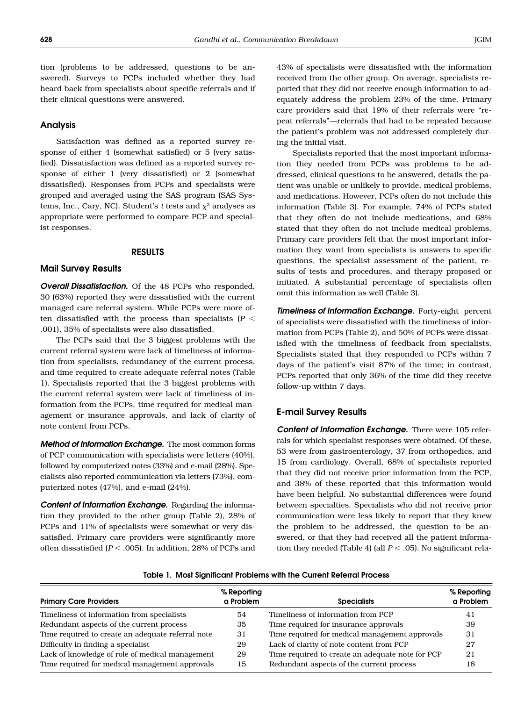#### **Analysis**

Satisfaction was defined as a reported survey response of either 4 (somewhat satisfied) or 5 (very satisfied). Dissatisfaction was defined as a reported survey response of either 1 (very dissatisfied) or 2 (somewhat dissatisfied). Responses from PCPs and specialists were grouped and averaged using the SAS program (SAS Systems, Inc., Cary, NC). Student's  $t$  tests and  $\chi^2$  analyses as appropriate were performed to compare PCP and specialist responses.

## **RESULTS**

#### **Mail Survey Results**

**Overall Dissatisfaction.** Of the 48 PCPs who responded, 30 (63%) reported they were dissatisfied with the current managed care referral system. While PCPs were more often dissatisfied with the process than specialists  $(P <$ .001), 35% of specialists were also dissatisfied.

The PCPs said that the 3 biggest problems with the current referral system were lack of timeliness of information from specialists, redundancy of the current process, and time required to create adequate referral notes (Table 1). Specialists reported that the 3 biggest problems with the current referral system were lack of timeliness of information from the PCPs, time required for medical management or insurance approvals, and lack of clarity of note content from PCPs.

**Method of Information Exchange.** The most common forms of PCP communication with specialists were letters (40%), followed by computerized notes (33%) and e-mail (28%). Specialists also reported communication via letters (73%), computerized notes (47%), and e-mail (24%).

**Content of Information Exchange.** Regarding the information they provided to the other group (Table 2), 28% of PCPs and 11% of specialists were somewhat or very dissatisfied. Primary care providers were significantly more often dissatisfied ( $P < .005$ ). In addition, 28% of PCPs and

43% of specialists were dissatisfied with the information received from the other group. On average, specialists reported that they did not receive enough information to adequately address the problem 23% of the time. Primary care providers said that 19% of their referrals were "repeat referrals"—referrals that had to be repeated because the patient's problem was not addressed completely during the initial visit.

Specialists reported that the most important information they needed from PCPs was problems to be addressed, clinical questions to be answered, details the patient was unable or unlikely to provide, medical problems, and medications. However, PCPs often do not include this information (Table 3). For example, 74% of PCPs stated that they often do not include medications, and 68% stated that they often do not include medical problems. Primary care providers felt that the most important information they want from specialists is answers to specific questions, the specialist assessment of the patient, results of tests and procedures, and therapy proposed or initiated. A substantial percentage of specialists often omit this information as well (Table 3).

**Timeliness of Information Exchange.** Forty-eight percent of specialists were dissatisfied with the timeliness of information from PCPs (Table 2), and 50% of PCPs were dissatisfied with the timeliness of feedback from specialists. Specialists stated that they responded to PCPs within 7 days of the patient's visit 87% of the time; in contrast, PCPs reported that only 36% of the time did they receive follow-up within 7 days.

## **E-mail Survey Results**

**Content of Information Exchange.** There were 105 referrals for which specialist responses were obtained. Of these, 53 were from gastroenterology, 37 from orthopedics, and 15 from cardiology. Overall, 68% of specialists reported that they did not receive prior information from the PCP, and 38% of these reported that this information would have been helpful. No substantial differences were found between specialties. Specialists who did not receive prior communication were less likely to report that they knew the problem to be addressed, the question to be answered, or that they had received all the patient information they needed (Table 4) (all  $P < .05$ ). No significant rela-

| Table 1. Most Significant Problems with the Current Referral Process |
|----------------------------------------------------------------------|
|----------------------------------------------------------------------|

| <b>Primary Care Providers</b>                     | % Reporting<br>a Problem | <b>Specialists</b>                               | % Reporting<br>a Problem |
|---------------------------------------------------|--------------------------|--------------------------------------------------|--------------------------|
| Timeliness of information from specialists        | 54                       | Timeliness of information from PCP               | 41                       |
| Redundant aspects of the current process          | 35                       | Time required for insurance approvals            | 39                       |
| Time required to create an adequate referral note | 31                       | Time required for medical management approvals   | 31                       |
| Difficulty in finding a specialist                | 29                       | Lack of clarity of note content from PCP         | 27                       |
| Lack of knowledge of role of medical management   | 29                       | Time required to create an adequate note for PCP | 21                       |
| Time required for medical management approvals    | 15                       | Redundant aspects of the current process         | 18                       |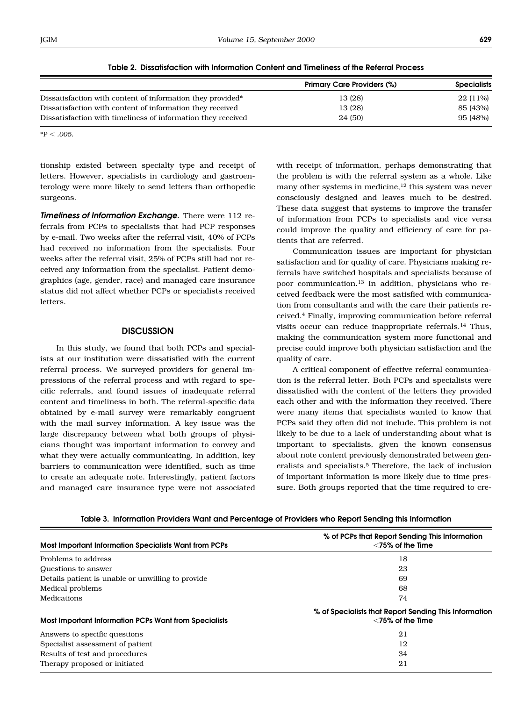|                                                              | <b>Primary Care Providers (%)</b> | <b>Specialists</b> |
|--------------------------------------------------------------|-----------------------------------|--------------------|
| Dissatisfaction with content of information they provided*   | 13 (28)                           | 22 (11%)           |
| Dissatisfaction with content of information they received    | 13 (28)                           | 85 (43%)           |
| Dissatisfaction with timeliness of information they received | 24 (50)                           | 95 (48%)           |

|  |  |  |  |  | Table 2. Dissatisfaction with Information Content and Timeliness of the Referral Process |
|--|--|--|--|--|------------------------------------------------------------------------------------------|
|--|--|--|--|--|------------------------------------------------------------------------------------------|

 $*P < .005$ .

tionship existed between specialty type and receipt of letters. However, specialists in cardiology and gastroenterology were more likely to send letters than orthopedic surgeons.

**Timeliness of Information Exchange.** There were 112 referrals from PCPs to specialists that had PCP responses by e-mail. Two weeks after the referral visit, 40% of PCPs had received no information from the specialists. Four weeks after the referral visit, 25% of PCPs still had not received any information from the specialist. Patient demographics (age, gender, race) and managed care insurance status did not affect whether PCPs or specialists received letters.

#### **DISCUSSION**

In this study, we found that both PCPs and specialists at our institution were dissatisfied with the current referral process. We surveyed providers for general impressions of the referral process and with regard to specific referrals, and found issues of inadequate referral content and timeliness in both. The referral-specific data obtained by e-mail survey were remarkably congruent with the mail survey information. A key issue was the large discrepancy between what both groups of physicians thought was important information to convey and what they were actually communicating. In addition, key barriers to communication were identified, such as time to create an adequate note. Interestingly, patient factors and managed care insurance type were not associated with receipt of information, perhaps demonstrating that the problem is with the referral system as a whole. Like many other systems in medicine, $12$  this system was never consciously designed and leaves much to be desired. These data suggest that systems to improve the transfer of information from PCPs to specialists and vice versa could improve the quality and efficiency of care for patients that are referred.

Communication issues are important for physician satisfaction and for quality of care. Physicians making referrals have switched hospitals and specialists because of poor communication.13 In addition, physicians who received feedback were the most satisfied with communication from consultants and with the care their patients received.4 Finally, improving communication before referral visits occur can reduce inappropriate referrals.<sup>14</sup> Thus, making the communication system more functional and precise could improve both physician satisfaction and the quality of care.

A critical component of effective referral communication is the referral letter. Both PCPs and specialists were dissatisfied with the content of the letters they provided each other and with the information they received. There were many items that specialists wanted to know that PCPs said they often did not include. This problem is not likely to be due to a lack of understanding about what is important to specialists, given the known consensus about note content previously demonstrated between generalists and specialists.5 Therefore, the lack of inclusion of important information is more likely due to time pressure. Both groups reported that the time required to cre-

| Most Important Information Specialists Want from PCPs | % of PCPs that Report Sending This Information<br>$<$ 75% of the Time        |
|-------------------------------------------------------|------------------------------------------------------------------------------|
| Problems to address                                   | 18                                                                           |
| Questions to answer                                   | 23                                                                           |
| Details patient is unable or unwilling to provide     | 69                                                                           |
| Medical problems                                      | 68                                                                           |
| Medications                                           | 74                                                                           |
| Most Important Information PCPs Want from Specialists | % of Specialists that Report Sending This Information<br>$<$ 75% of the Time |
| Answers to specific questions                         | 21                                                                           |
| Specialist assessment of patient                      | 12                                                                           |
| Results of test and procedures                        | 34                                                                           |
| Therapy proposed or initiated                         | 21                                                                           |

| Table 3. Information Providers Want and Percentage of Providers who Report Sending this Information |  |  |  |
|-----------------------------------------------------------------------------------------------------|--|--|--|
|                                                                                                     |  |  |  |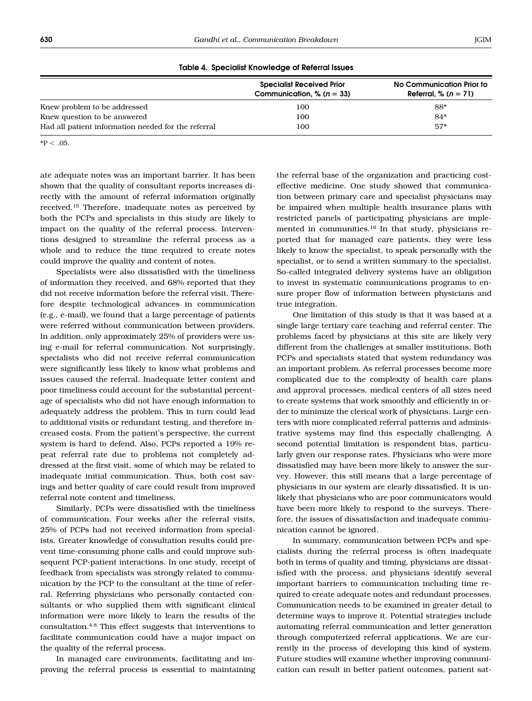|                                                     | <b>Specialist Received Prior</b><br>Communication, % $(n = 33)$ | No Communication Prior to<br>Referral, % $(n = 71)$ |
|-----------------------------------------------------|-----------------------------------------------------------------|-----------------------------------------------------|
| Knew problem to be addressed                        | 100                                                             | 88*                                                 |
| Knew question to be answered                        | 100                                                             | 84*                                                 |
| Had all patient information needed for the referral | 100                                                             | $57*$                                               |

**Table 4. Specialist Knowledge of Referral Issues**

 $*P < .05$ .

ate adequate notes was an important barrier. It has been shown that the quality of consultant reports increases directly with the amount of referral information originally received.15 Therefore, inadequate notes as perceived by both the PCPs and specialists in this study are likely to impact on the quality of the referral process. Interventions designed to streamline the referral process as a whole and to reduce the time required to create notes could improve the quality and content of notes.

Specialists were also dissatisfied with the timeliness of information they received, and 68% reported that they did not receive information before the referral visit. Therefore despite technological advances in communication (e.g., e-mail), we found that a large percentage of patients were referred without communication between providers. In addition, only approximately 25% of providers were using e-mail for referral communication. Not surprisingly, specialists who did not receive referral communication were significantly less likely to know what problems and issues caused the referral. Inadequate letter content and poor timeliness could account for the substantial percentage of specialists who did not have enough information to adequately address the problem. This in turn could lead to additional visits or redundant testing, and therefore increased costs. From the patient's perspective, the current system is hard to defend. Also, PCPs reported a 19% repeat referral rate due to problems not completely addressed at the first visit, some of which may be related to inadequate initial communication. Thus, both cost savings and better quality of care could result from improved referral note content and timeliness.

Similarly, PCPs were dissatisfied with the timeliness of communication. Four weeks after the referral visits, 25% of PCPs had not received information from specialists. Greater knowledge of consultation results could prevent time-consuming phone calls and could improve subsequent PCP-patient interactions. In one study, receipt of feedback from specialists was strongly related to communication by the PCP to the consultant at the time of referral. Referring physicians who personally contacted consultants or who supplied them with significant clinical information were more likely to learn the results of the consultation.4,8 This effect suggests that interventions to facilitate communication could have a major impact on the quality of the referral process.

In managed care environments, facilitating and improving the referral process is essential to maintaining

the referral base of the organization and practicing costeffective medicine. One study showed that communication between primary care and specialist physicians may be impaired when multiple health insurance plans with restricted panels of participating physicians are implemented in communities.<sup>16</sup> In that study, physicians reported that for managed care patients, they were less likely to know the specialist, to speak personally with the specialist, or to send a written summary to the specialist. So-called integrated delivery systems have an obligation to invest in systematic communications programs to ensure proper flow of information between physicians and true integration.

One limitation of this study is that it was based at a single large tertiary care teaching and referral center. The problems faced by physicians at this site are likely very different from the challenges at smaller institutions. Both PCPs and specialists stated that system redundancy was an important problem. As referral processes become more complicated due to the complexity of health care plans and approval processes, medical centers of all sizes need to create systems that work smoothly and efficiently in order to minimize the clerical work of physicians. Large centers with more complicated referral patterns and administrative systems may find this especially challenging. A second potential limitation is respondent bias, particularly given our response rates. Physicians who were more dissatisfied may have been more likely to answer the survey. However, this still means that a large percentage of physicians in our system are clearly dissatisfied. It is unlikely that physicians who are poor communicators would have been more likely to respond to the surveys. Therefore, the issues of dissatisfaction and inadequate communication cannot be ignored.

In summary, communication between PCPs and specialists during the referral process is often inadequate both in terms of quality and timing, physicians are dissatisfied with the process, and physicians identify several important barriers to communication including time required to create adequate notes and redundant processes. Communication needs to be examined in greater detail to determine ways to improve it. Potential strategies include automating referral communication and letter generation through computerized referral applications. We are currently in the process of developing this kind of system. Future studies will examine whether improving communication can result in better patient outcomes, patient sat